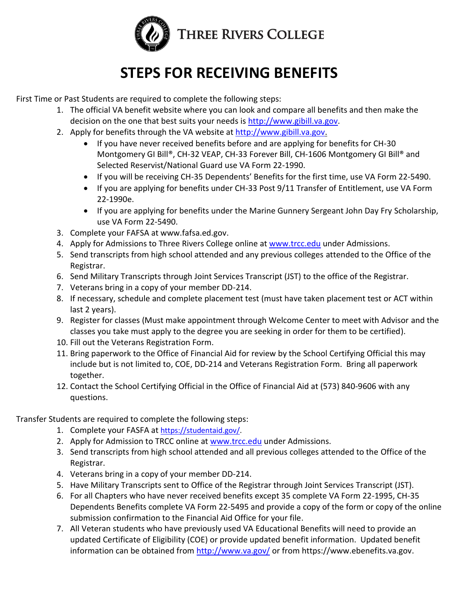

# **STEPS FOR RECEIVING BENEFITS**

First Time or Past Students are required to complete the following steps:

- 1. The official VA benefit website where you can look and compare all benefits and then make the decision on the one that best suits your needs is http://www.gibill.va.gov.
- 2. Apply for benefits through the VA website at http://www.gibill.va.gov.
	- If you have never received benefits before and are applying for benefits for CH-30 Montgomery GI Bill®, CH-32 VEAP, CH-33 Forever Bill, CH-1606 Montgomery GI Bill® and Selected Reservist/National Guard use VA Form 22-1990.
	- If you will be receiving CH-35 Dependents' Benefits for the first time, use VA Form 22-5490.
	- If you are applying for benefits under CH-33 Post 9/11 Transfer of Entitlement, use VA Form 22-1990e.
	- If you are applying for benefits under the Marine Gunnery Sergeant John Day Fry Scholarship, use VA Form 22-5490.
- 3. Complete your FAFSA at www.fafsa.ed.gov.
- 4. Apply for Admissions to Three Rivers College online at [www.trcc.edu](http://www.trcc.edu/) under Admissions.
- 5. Send transcripts from high school attended and any previous colleges attended to the Office of the Registrar.
- 6. Send Military Transcripts through Joint Services Transcript (JST) to the office of the Registrar.
- 7. Veterans bring in a copy of your member DD-214.
- 8. If necessary, schedule and complete placement test (must have taken placement test or ACT within last 2 years).
- 9. Register for classes (Must make appointment through Welcome Center to meet with Advisor and the classes you take must apply to the degree you are seeking in order for them to be certified).
- 10. Fill out the Veterans Registration Form.
- 11. Bring paperwork to the Office of Financial Aid for review by the School Certifying Official this may include but is not limited to, COE, DD-214 and Veterans Registration Form. Bring all paperwork together.
- 12. Contact the School Certifying Official in the Office of Financial Aid at (573) 840-9606 with any questions.

Transfer Students are required to complete the following steps:

- 1. Complete your FASFA at [https://studentaid.gov/.](https://studentaid.gov/)
- 2. Apply for Admission to TRCC online at [www.trcc.edu](http://www.trcc.edu/) under Admissions.
- 3. Send transcripts from high school attended and all previous colleges attended to the Office of the Registrar.
- 4. Veterans bring in a copy of your member DD-214.
- 5. Have Military Transcripts sent to Office of the Registrar through Joint Services Transcript (JST).
- 6. For all Chapters who have never received benefits except 35 complete VA Form 22-1995, CH-35 Dependents Benefits complete VA Form 22-5495 and provide a copy of the form or copy of the online submission confirmation to the Financial Aid Office for your file.
- 7. All Veteran students who have previously used VA Educational Benefits will need to provide an updated Certificate of Eligibility (COE) or provide updated benefit information. Updated benefit information can be obtained from<http://www.va.gov/> or from https://www.ebenefits.va.gov.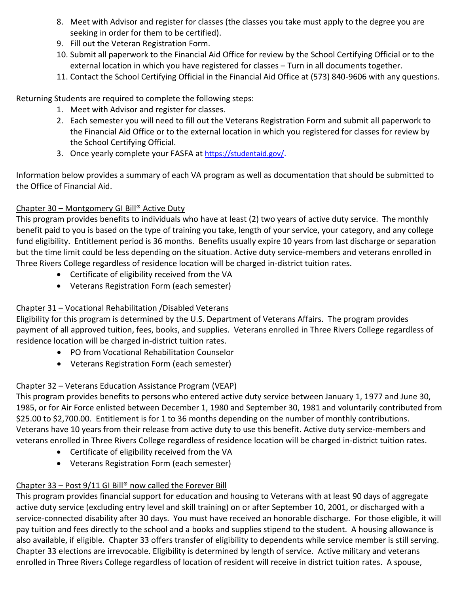- 8. Meet with Advisor and register for classes (the classes you take must apply to the degree you are seeking in order for them to be certified).
- 9. Fill out the Veteran Registration Form.
- 10. Submit all paperwork to the Financial Aid Office for review by the School Certifying Official or to the external location in which you have registered for classes – Turn in all documents together.
- 11. Contact the School Certifying Official in the Financial Aid Office at (573) 840-9606 with any questions.

Returning Students are required to complete the following steps:

- 1. Meet with Advisor and register for classes.
- 2. Each semester you will need to fill out the Veterans Registration Form and submit all paperwork to the Financial Aid Office or to the external location in which you registered for classes for review by the School Certifying Official.
- 3. Once yearly complete your FASFA at <https://studentaid.gov/>.

Information below provides a summary of each VA program as well as documentation that should be submitted to the Office of Financial Aid.

### Chapter 30 – Montgomery GI Bill® Active Duty

This program provides benefits to individuals who have at least (2) two years of active duty service. The monthly benefit paid to you is based on the type of training you take, length of your service, your category, and any college fund eligibility. Entitlement period is 36 months. Benefits usually expire 10 years from last discharge or separation but the time limit could be less depending on the situation. Active duty service-members and veterans enrolled in Three Rivers College regardless of residence location will be charged in-district tuition rates.

- Certificate of eligibility received from the VA
- Veterans Registration Form (each semester)

## Chapter 31 – Vocational Rehabilitation /Disabled Veterans

Eligibility for this program is determined by the U.S. Department of Veterans Affairs. The program provides payment of all approved tuition, fees, books, and supplies. Veterans enrolled in Three Rivers College regardless of residence location will be charged in-district tuition rates.

- PO from Vocational Rehabilitation Counselor
- Veterans Registration Form (each semester)

## Chapter 32 – Veterans Education Assistance Program (VEAP)

This program provides benefits to persons who entered active duty service between January 1, 1977 and June 30, 1985, or for Air Force enlisted between December 1, 1980 and September 30, 1981 and voluntarily contributed from \$25.00 to \$2,700.00. Entitlement is for 1 to 36 months depending on the number of monthly contributions. Veterans have 10 years from their release from active duty to use this benefit. Active duty service-members and veterans enrolled in Three Rivers College regardless of residence location will be charged in-district tuition rates.

- Certificate of eligibility received from the VA
- Veterans Registration Form (each semester)

# Chapter 33 – Post 9/11 GI Bill® now called the Forever Bill

This program provides financial support for education and housing to Veterans with at least 90 days of aggregate active duty service (excluding entry level and skill training) on or after September 10, 2001, or discharged with a service-connected disability after 30 days. You must have received an honorable discharge. For those eligible, it will pay tuition and fees directly to the school and a books and supplies stipend to the student. A housing allowance is also available, if eligible. Chapter 33 offers transfer of eligibility to dependents while service member is still serving. Chapter 33 elections are irrevocable. Eligibility is determined by length of service. Active military and veterans enrolled in Three Rivers College regardless of location of resident will receive in district tuition rates. A spouse,